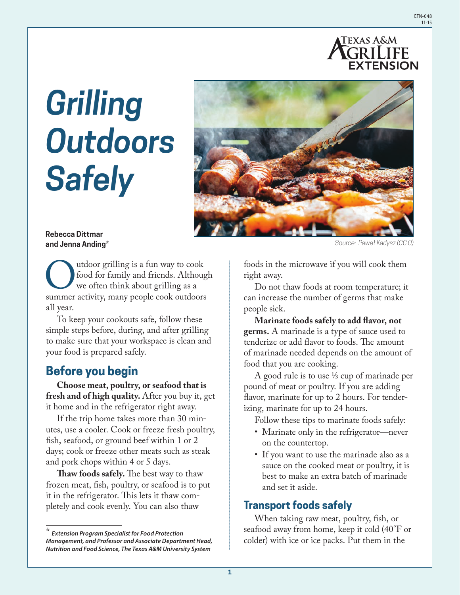

# *Grilling Outdoors Safely*



#### **Rebecca Dittmar and Jenna Anding\***

Outdoor grilling is a fun way to cook<br>food for family and friends. Although<br>we often think about grilling as a<br>summer activity, many people cook outdoors food for family and friends. Although we often think about grilling as a all year.

To keep your cookouts safe, follow these simple steps before, during, and after grilling to make sure that your workspace is clean and your food is prepared safely.

# **Before you begin**

**Choose meat, poultry, or seafood that is fresh and of high quality.** After you buy it, get it home and in the refrigerator right away.

If the trip home takes more than 30 minutes, use a cooler. Cook or freeze fresh poultry, fish, seafood, or ground beef within 1 or 2 days; cook or freeze other meats such as steak and pork chops within 4 or 5 days.

**Thaw foods safely.** The best way to thaw frozen meat, fish, poultry, or seafood is to put it in the refrigerator. This lets it thaw completely and cook evenly. You can also thaw

*Source: Paweł Kadysz (CC 0)*

foods in the microwave if you will cook them right away.

Do not thaw foods at room temperature; it can increase the number of germs that make people sick.

**Marinate foods safely to add flavor, not germs.** A marinade is a type of sauce used to tenderize or add flavor to foods. The amount of marinade needed depends on the amount of food that you are cooking.

A good rule is to use ⅓ cup of marinade per pound of meat or poultry. If you are adding flavor, marinate for up to 2 hours. For tenderizing, marinate for up to 24 hours.

Follow these tips to marinate foods safely:

- Marinate only in the refrigerator—never on the countertop.
- If you want to use the marinade also as a sauce on the cooked meat or poultry, it is best to make an extra batch of marinade and set it aside.

#### **Transport foods safely**

When taking raw meat, poultry, fish, or seafood away from home, keep it cold (40°F or colder) with ice or ice packs. Put them in the

<sup>\*</sup> *Extension Program Specialist for Food Protection Management, and Professor and Associate Department Head, Nutrition and Food Science, The Texas A&M University System*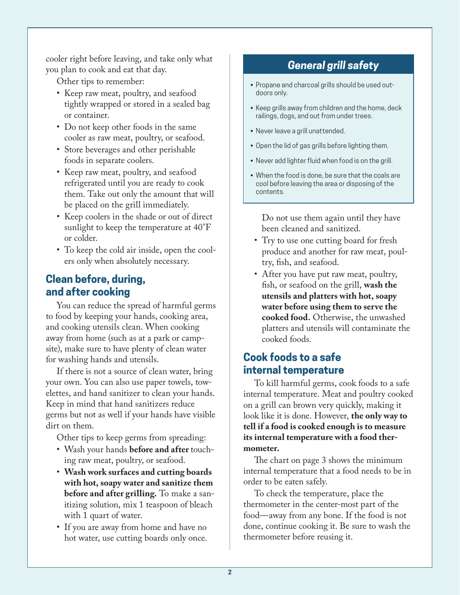cooler right before leaving, and take only what you plan to cook and eat that day.

Other tips to remember:

- Keep raw meat, poultry, and seafood tightly wrapped or stored in a sealed bag or container.
- Do not keep other foods in the same cooler as raw meat, poultry, or seafood.
- Store beverages and other perishable foods in separate coolers.
- Keep raw meat, poultry, and seafood refrigerated until you are ready to cook them. Take out only the amount that will be placed on the grill immediately.
- Keep coolers in the shade or out of direct sunlight to keep the temperature at 40°F or colder.
- To keep the cold air inside, open the coolers only when absolutely necessary.

## **Clean before, during, and after cooking**

You can reduce the spread of harmful germs to food by keeping your hands, cooking area, and cooking utensils clean. When cooking away from home (such as at a park or campsite), make sure to have plenty of clean water for washing hands and utensils.

If there is not a source of clean water, bring your own. You can also use paper towels, towelettes, and hand sanitizer to clean your hands. Keep in mind that hand sanitizers reduce germs but not as well if your hands have visible dirt on them.

Other tips to keep germs from spreading:

- Wash your hands **before and after** touching raw meat, poultry, or seafood.
- **Wash work surfaces and cutting boards with hot, soapy water and sanitize them before and after grilling.** To make a sanitizing solution, mix 1 teaspoon of bleach with 1 quart of water.
- If you are away from home and have no hot water, use cutting boards only once.

## *General grill safety*

- Propane and charcoal grills should be used outdoors only.
- Keep grills away from children and the home, deck railings, dogs, and out from under trees.
- Never leave a grill unattended.
- Open the lid of gas grills before lighting them.
- Never add lighter fluid when food is on the grill.
- When the food is done, be sure that the coals are cool before leaving the area or disposing of the contents.

Do not use them again until they have been cleaned and sanitized.

- Try to use one cutting board for fresh produce and another for raw meat, poultry, fish, and seafood.
- After you have put raw meat, poultry, fish, or seafood on the grill, **wash the utensils and platters with hot, soapy water before using them to serve the cooked food.** Otherwise, the unwashed platters and utensils will contaminate the cooked foods.

### **Cook foods to a safe internal temperature**

To kill harmful germs, cook foods to a safe internal temperature. Meat and poultry cooked on a grill can brown very quickly, making it look like it is done. However, **the only way to tell if a food is cooked enough is to measure its internal temperature with a food thermometer.** 

The chart on page 3 shows the minimum internal temperature that a food needs to be in order to be eaten safely.

To check the temperature, place the thermometer in the center-most part of the food—away from any bone. If the food is not done, continue cooking it. Be sure to wash the thermometer before reusing it.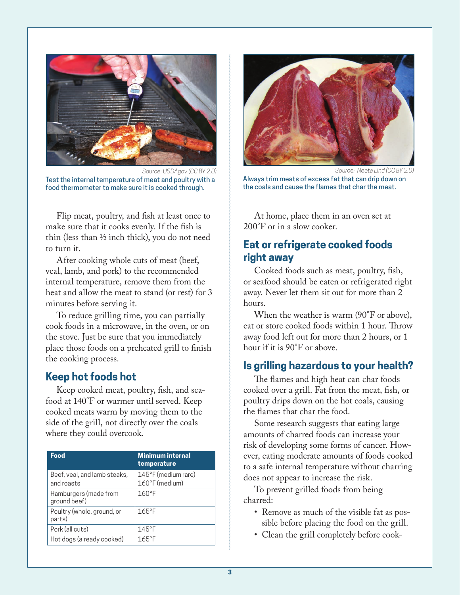

Test the internal temperature of meat and poultry with a food thermometer to make sure it is cooked through. *Source: USDAgov (CC BY 2.0)* 

Flip meat, poultry, and fish at least once to make sure that it cooks evenly. If the fish is thin (less than ½ inch thick), you do not need to turn it.

After cooking whole cuts of meat (beef, veal, lamb, and pork) to the recommended internal temperature, remove them from the heat and allow the meat to stand (or rest) for 3 minutes before serving it.

To reduce grilling time, you can partially cook foods in a microwave, in the oven, or on the stove. Just be sure that you immediately place those foods on a preheated grill to finish the cooking process.

#### **Keep hot foods hot**

Keep cooked meat, poultry, fish, and seafood at 140°F or warmer until served. Keep cooked meats warm by moving them to the side of the grill, not directly over the coals where they could overcook.

| Food                                       | <b>Minimum internal</b><br>temperature |
|--------------------------------------------|----------------------------------------|
| Beef, veal, and lamb steaks,<br>and roasts | 145°F (medium rare)<br>160°F (medium)  |
| Hamburgers (made from<br>ground beef)      | $160^{\circ}$ F                        |
| Poultry (whole, ground, or<br>parts)       | $165^{\circ}F$                         |
| Pork (all cuts)                            | $145^{\circ}$ F                        |
| Hot dogs (already cooked)                  | $165^{\circ}$ F                        |



*Source: Neeta Lind (CC BY 2.0)*

Always trim meats of excess fat that can drip down on the coals and cause the flames that char the meat.

At home, place them in an oven set at 200°F or in a slow cooker.

#### **Eat or refrigerate cooked foods right away**

Cooked foods such as meat, poultry, fish, or seafood should be eaten or refrigerated right away. Never let them sit out for more than 2 hours.

When the weather is warm (90<sup>°</sup>F or above). eat or store cooked foods within 1 hour. Throw away food left out for more than 2 hours, or 1 hour if it is 90°F or above.

#### **Is grilling hazardous to your health?**

The flames and high heat can char foods cooked over a grill. Fat from the meat, fish, or poultry drips down on the hot coals, causing the flames that char the food.

Some research suggests that eating large amounts of charred foods can increase your risk of developing some forms of cancer. However, eating moderate amounts of foods cooked to a safe internal temperature without charring does not appear to increase the risk.

To prevent grilled foods from being charred:

- Remove as much of the visible fat as possible before placing the food on the grill.
- Clean the grill completely before cook-